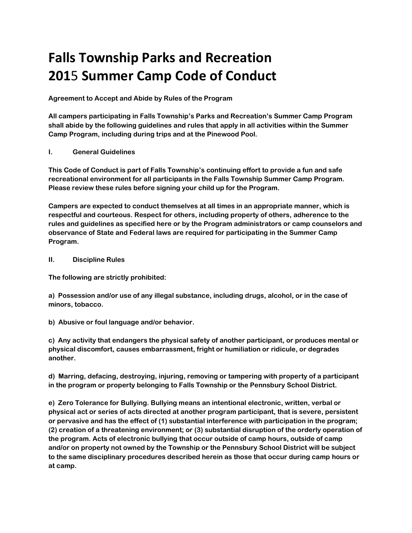## **Falls Township Parks and Recreation 201**5 **Summer Camp Code of Conduct**

**Agreement to Accept and Abide by Rules of the Program**

**All campers participating in Falls Township's Parks and Recreation's Summer Camp Program shall abide by the following guidelines and rules that apply in all activities within the Summer Camp Program, including during trips and at the Pinewood Pool.**

## **I. General Guidelines**

**This Code of Conduct is part of Falls Township's continuing effort to provide a fun and safe recreational environment for all participants in the Falls Township Summer Camp Program. Please review these rules before signing your child up for the Program.**

**Campers are expected to conduct themselves at all times in an appropriate manner, which is respectful and courteous. Respect for others, including property of others, adherence to the rules and guidelines as specified here or by the Program administrators or camp counselors and observance of State and Federal laws are required for participating in the Summer Camp Program.**

## **II. Discipline Rules**

**The following are strictly prohibited:**

**a) Possession and/or use of any illegal substance, including drugs, alcohol, or in the case of minors, tobacco.**

**b) Abusive or foul language and/or behavior.**

**c) Any activity that endangers the physical safety of another participant, or produces mental or physical discomfort, causes embarrassment, fright or humiliation or ridicule, or degrades another.**

**d) Marring, defacing, destroying, injuring, removing or tampering with property of a participant in the program or property belonging to Falls Township or the Pennsbury School District.**

**e) Zero Tolerance for Bullying. Bullying means an intentional electronic, written, verbal or physical act or series of acts directed at another program participant, that is severe, persistent or pervasive and has the effect of (1) substantial interference with participation in the program; (2) creation of a threatening environment; or (3) substantial disruption of the orderly operation of the program. Acts of electronic bullying that occur outside of camp hours, outside of camp and/or on property not owned by the Township or the Pennsbury School District will be subject to the same disciplinary procedures described herein as those that occur during camp hours or at camp.**